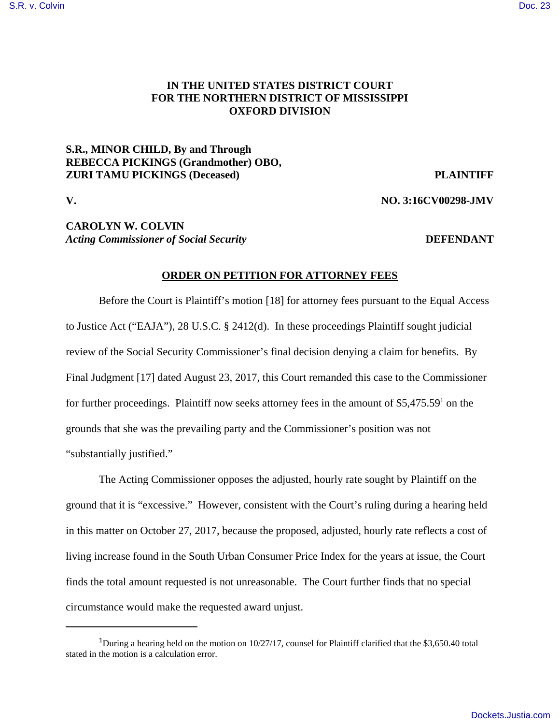#### [S.R. v. Colvin](https://dockets.justia.com/docket/mississippi/msndce/3:2016cv00298/39111/) [Doc. 23](https://docs.justia.com/cases/federal/district-courts/mississippi/msndce/3:2016cv00298/39111/23/)

# **IN THE UNITED STATES DISTRICT COURT FOR THE NORTHERN DISTRICT OF MISSISSIPPI OXFORD DIVISION**

# **S.R., MINOR CHILD, By and Through REBECCA PICKINGS (Grandmother) OBO, ZURI TAMU PICKINGS (Deceased) PLAINTIFF**

**V. NO. 3:16CV00298-JMV**

# **CAROLYN W. COLVIN** Acting Commissioner of Social Security *DEFENDANT*

#### **ORDER ON PETITION FOR ATTORNEY FEES**

Before the Court is Plaintiff's motion [18] for attorney fees pursuant to the Equal Access to Justice Act ("EAJA"), 28 U.S.C. § 2412(d). In these proceedings Plaintiff sought judicial review of the Social Security Commissioner's final decision denying a claim for benefits. By Final Judgment [17] dated August 23, 2017, this Court remanded this case to the Commissioner for further proceedings. Plaintiff now seeks attorney fees in the amount of \$5,475.59<sup>1</sup> on the grounds that she was the prevailing party and the Commissioner's position was not "substantially justified."

The Acting Commissioner opposes the adjusted, hourly rate sought by Plaintiff on the ground that it is "excessive." However, consistent with the Court's ruling during a hearing held in this matter on October 27, 2017, because the proposed, adjusted, hourly rate reflects a cost of living increase found in the South Urban Consumer Price Index for the years at issue, the Court finds the total amount requested is not unreasonable. The Court further finds that no special circumstance would make the requested award unjust.

<sup>&</sup>lt;sup>1</sup>During a hearing held on the motion on  $10/27/17$ , counsel for Plaintiff clarified that the \$3,650.40 total stated in the motion is a calculation error.